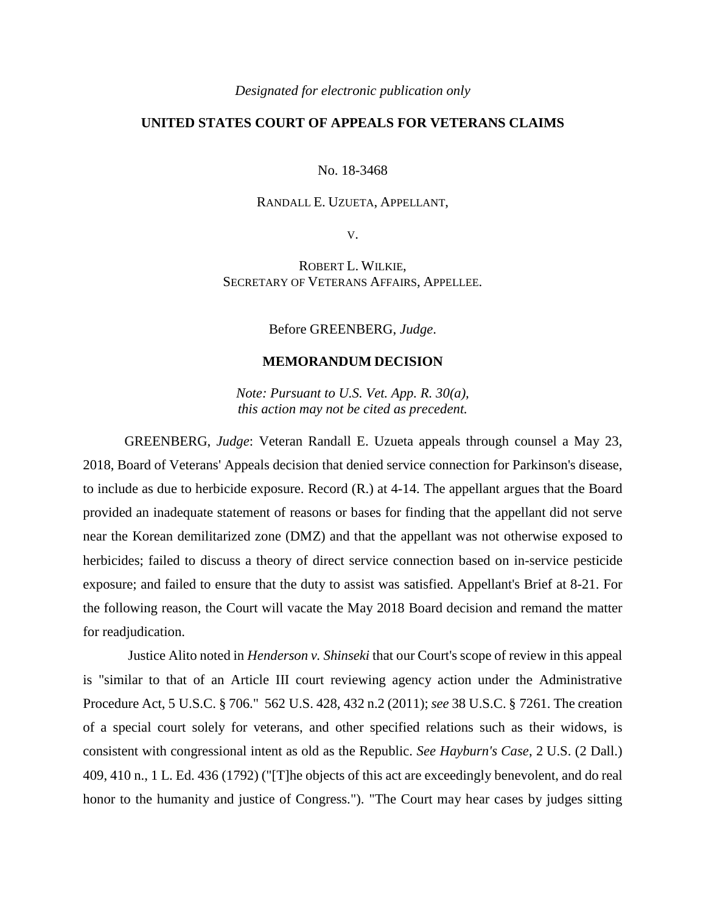*Designated for electronic publication only*

## **UNITED STATES COURT OF APPEALS FOR VETERANS CLAIMS**

No. 18-3468

## RANDALL E. UZUETA, APPELLANT,

V.

ROBERT L. WILKIE, SECRETARY OF VETERANS AFFAIRS, APPELLEE.

Before GREENBERG, *Judge*.

## **MEMORANDUM DECISION**

*Note: Pursuant to U.S. Vet. App. R. 30(a), this action may not be cited as precedent.*

GREENBERG, *Judge*: Veteran Randall E. Uzueta appeals through counsel a May 23, 2018, Board of Veterans' Appeals decision that denied service connection for Parkinson's disease, to include as due to herbicide exposure. Record (R.) at 4-14. The appellant argues that the Board provided an inadequate statement of reasons or bases for finding that the appellant did not serve near the Korean demilitarized zone (DMZ) and that the appellant was not otherwise exposed to herbicides; failed to discuss a theory of direct service connection based on in-service pesticide exposure; and failed to ensure that the duty to assist was satisfied. Appellant's Brief at 8-21. For the following reason, the Court will vacate the May 2018 Board decision and remand the matter for readjudication.

Justice Alito noted in *Henderson v. Shinseki* that our Court's scope of review in this appeal is "similar to that of an Article III court reviewing agency action under the Administrative Procedure Act, 5 U.S.C. § 706." 562 U.S. 428, 432 n.2 (2011); *see* 38 U.S.C. § 7261. The creation of a special court solely for veterans, and other specified relations such as their widows, is consistent with congressional intent as old as the Republic. *See Hayburn's Case*, 2 U.S. (2 Dall.) 409, 410 n., 1 L. Ed. 436 (1792) ("[T]he objects of this act are exceedingly benevolent, and do real honor to the humanity and justice of Congress."). "The Court may hear cases by judges sitting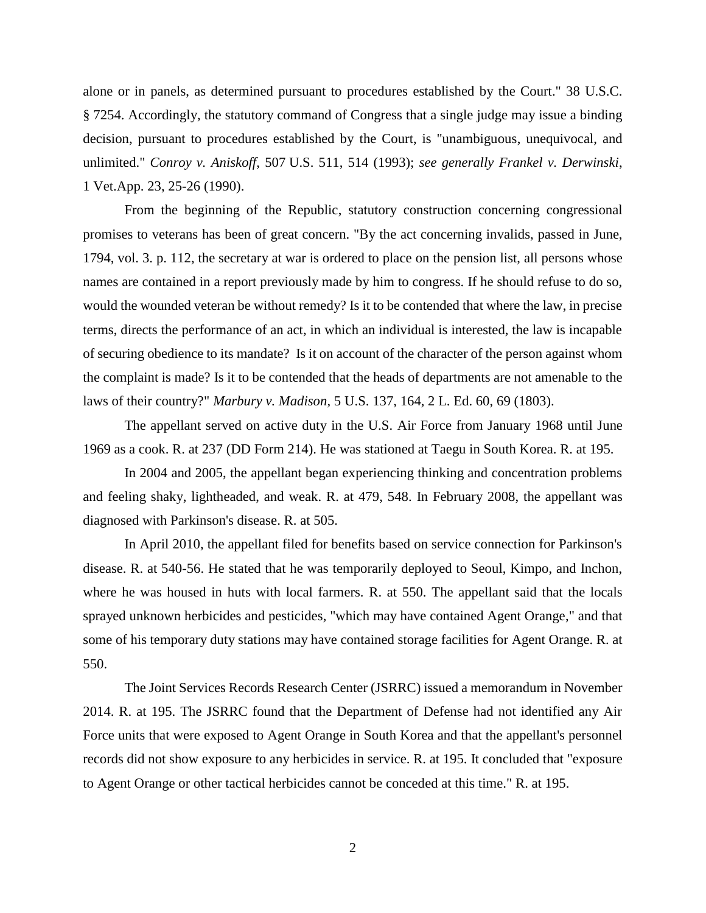alone or in panels, as determined pursuant to procedures established by the Court." 38 U.S.C. § 7254. Accordingly, the statutory command of Congress that a single judge may issue a binding decision, pursuant to procedures established by the Court, is "unambiguous, unequivocal, and unlimited." *Conroy v. Aniskoff*, 507 U.S. 511, 514 (1993); *see generally Frankel v. Derwinski*, 1 Vet.App. 23, 25-26 (1990).

From the beginning of the Republic, statutory construction concerning congressional promises to veterans has been of great concern. "By the act concerning invalids, passed in June, 1794, vol. 3. p. 112, the secretary at war is ordered to place on the pension list, all persons whose names are contained in a report previously made by him to congress. If he should refuse to do so, would the wounded veteran be without remedy? Is it to be contended that where the law, in precise terms, directs the performance of an act, in which an individual is interested, the law is incapable of securing obedience to its mandate? Is it on account of the character of the person against whom the complaint is made? Is it to be contended that the heads of departments are not amenable to the laws of their country?" *Marbury v. Madison*, 5 U.S. 137, 164, 2 L. Ed. 60, 69 (1803).

The appellant served on active duty in the U.S. Air Force from January 1968 until June 1969 as a cook. R. at 237 (DD Form 214). He was stationed at Taegu in South Korea. R. at 195.

In 2004 and 2005, the appellant began experiencing thinking and concentration problems and feeling shaky, lightheaded, and weak. R. at 479, 548. In February 2008, the appellant was diagnosed with Parkinson's disease. R. at 505.

In April 2010, the appellant filed for benefits based on service connection for Parkinson's disease. R. at 540-56. He stated that he was temporarily deployed to Seoul, Kimpo, and Inchon, where he was housed in huts with local farmers. R. at 550. The appellant said that the locals sprayed unknown herbicides and pesticides, "which may have contained Agent Orange," and that some of his temporary duty stations may have contained storage facilities for Agent Orange. R. at 550.

The Joint Services Records Research Center (JSRRC) issued a memorandum in November 2014. R. at 195. The JSRRC found that the Department of Defense had not identified any Air Force units that were exposed to Agent Orange in South Korea and that the appellant's personnel records did not show exposure to any herbicides in service. R. at 195. It concluded that "exposure to Agent Orange or other tactical herbicides cannot be conceded at this time." R. at 195.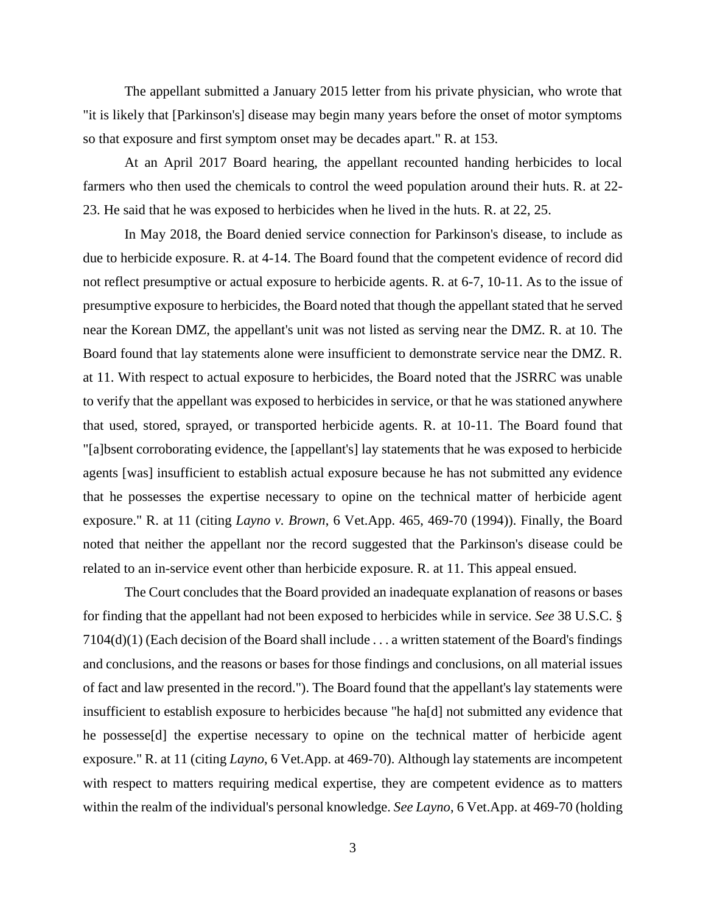The appellant submitted a January 2015 letter from his private physician, who wrote that "it is likely that [Parkinson's] disease may begin many years before the onset of motor symptoms so that exposure and first symptom onset may be decades apart." R. at 153.

At an April 2017 Board hearing, the appellant recounted handing herbicides to local farmers who then used the chemicals to control the weed population around their huts. R. at 22- 23. He said that he was exposed to herbicides when he lived in the huts. R. at 22, 25.

In May 2018, the Board denied service connection for Parkinson's disease, to include as due to herbicide exposure. R. at 4-14. The Board found that the competent evidence of record did not reflect presumptive or actual exposure to herbicide agents. R. at 6-7, 10-11. As to the issue of presumptive exposure to herbicides, the Board noted that though the appellant stated that he served near the Korean DMZ, the appellant's unit was not listed as serving near the DMZ. R. at 10. The Board found that lay statements alone were insufficient to demonstrate service near the DMZ. R. at 11. With respect to actual exposure to herbicides, the Board noted that the JSRRC was unable to verify that the appellant was exposed to herbicides in service, or that he was stationed anywhere that used, stored, sprayed, or transported herbicide agents. R. at 10-11. The Board found that "[a]bsent corroborating evidence, the [appellant's] lay statements that he was exposed to herbicide agents [was] insufficient to establish actual exposure because he has not submitted any evidence that he possesses the expertise necessary to opine on the technical matter of herbicide agent exposure." R. at 11 (citing *Layno v. Brown*, 6 Vet.App. 465, 469-70 (1994)). Finally, the Board noted that neither the appellant nor the record suggested that the Parkinson's disease could be related to an in-service event other than herbicide exposure. R. at 11. This appeal ensued.

The Court concludes that the Board provided an inadequate explanation of reasons or bases for finding that the appellant had not been exposed to herbicides while in service. *See* 38 U.S.C. § 7104(d)(1) (Each decision of the Board shall include . . . a written statement of the Board's findings and conclusions, and the reasons or bases for those findings and conclusions, on all material issues of fact and law presented in the record."). The Board found that the appellant's lay statements were insufficient to establish exposure to herbicides because "he ha[d] not submitted any evidence that he possesse[d] the expertise necessary to opine on the technical matter of herbicide agent exposure." R. at 11 (citing *Layno*, 6 Vet.App. at 469-70). Although lay statements are incompetent with respect to matters requiring medical expertise, they are competent evidence as to matters within the realm of the individual's personal knowledge. *See Layno*, 6 Vet.App. at 469-70 (holding